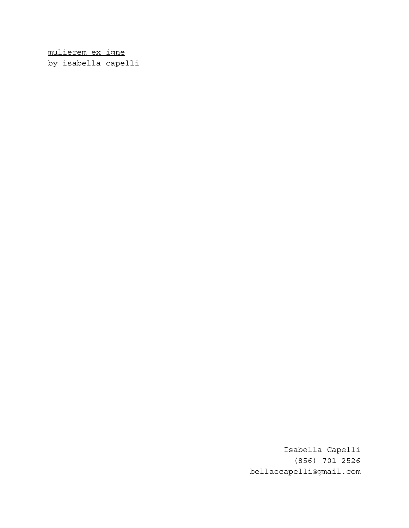mulierem ex igne by isabella capelli

> Isabella Capelli (856) 701 2526 bellaecapelli@gmail.com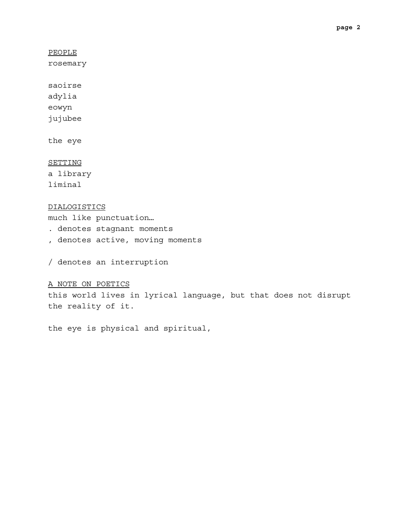PEOPLE

rosemary

saoirse adylia eowyn jujubee

the eye

## SETTING

a library liminal

## DIALOGISTICS

much like punctuation…

. denotes stagnant moments

, denotes active, moving moments

/ denotes an interruption

## A NOTE ON POETICS

this world lives in lyrical language, but that does not disrupt the reality of it.

the eye is physical and spiritual,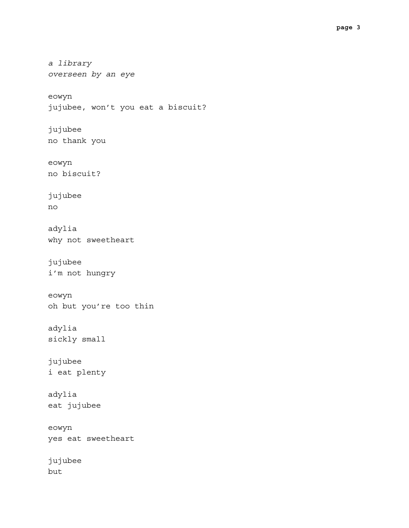```
a library
overseen by an eye
eowyn
jujubee, won't you eat a biscuit?
jujubee
no thank you
eowyn
no biscuit?
jujubee
no
adylia
why not sweetheart
jujubee
i'm not hungry
eowyn
oh but you're too thin
adylia
sickly small
jujubee
i eat plenty
adylia
eat jujubee
eowyn
yes eat sweetheart
jujubee
but
```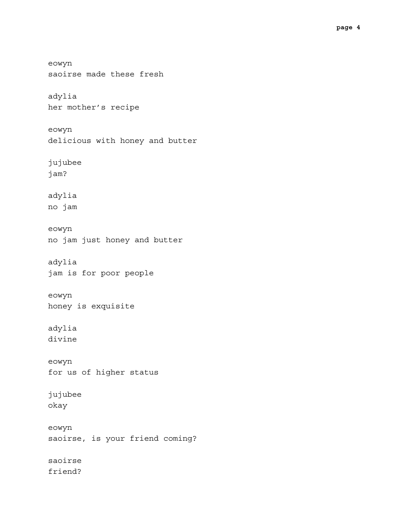eowyn saoirse made these fresh adylia her mother's recipe eowyn delicious with honey and butter jujubee jam? adylia no jam eowyn no jam just honey and butter adylia jam is for poor people eowyn honey is exquisite adylia divine eowyn for us of higher status jujubee okay eowyn saoirse, is your friend coming? saoirse friend?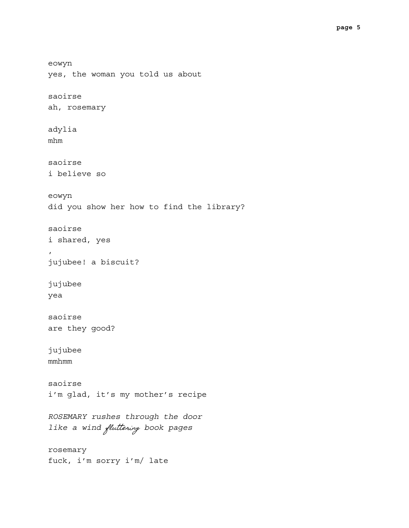```
eowyn
yes, the woman you told us about
saoirse
ah, rosemary
adylia
mhm
saoirse
i believe so
eowyn
did you show her how to find the library?
saoirse
i shared, yes
\mathbf{r}jujubee! a biscuit?
jujubee
yea
saoirse
are they good?
jujubee
mmhmm
saoirse
i'm glad, it's my mother's recipe
ROSEMARY rushes through the door
like a wind fluttering book pages
rosemary
fuck, i'm sorry i'm/ late
```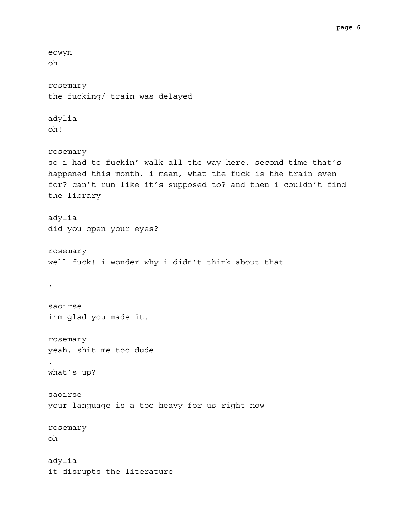eowyn oh rosemary the fucking/ train was delayed adylia oh! rosemary so i had to fuckin' walk all the way here. second time that's happened this month. i mean, what the fuck is the train even for? can't run like it's supposed to? and then i couldn't find the library adylia did you open your eyes? rosemary well fuck! i wonder why i didn't think about that . saoirse i'm glad you made it. rosemary yeah, shit me too dude . what's up? saoirse your language is a too heavy for us right now rosemary oh adylia it disrupts the literature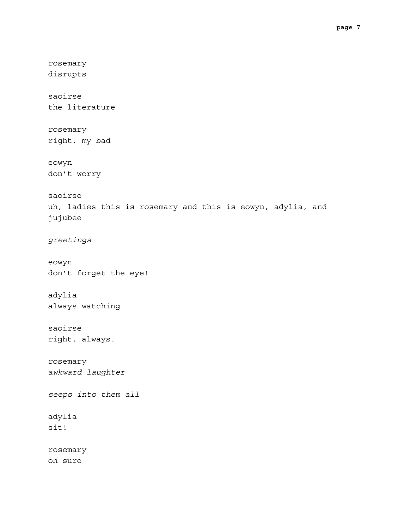rosemary disrupts saoirse the literature rosemary right. my bad eowyn don't worry saoirse uh, ladies this is rosemary and this is eowyn, adylia, and jujubee *greetings* eowyn don't forget the eye! adylia always watching saoirse right. always. rosemary *awkward laughter seeps into them all* adylia sit! rosemary oh sure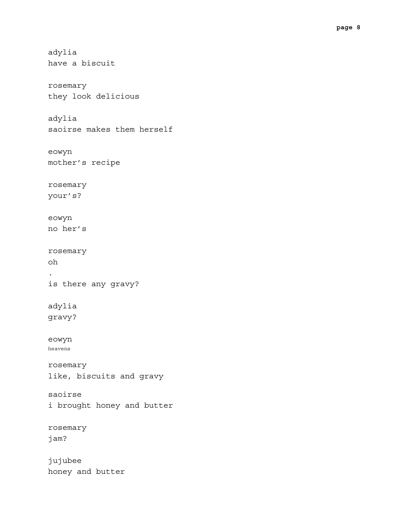```
adylia
have a biscuit
rosemary
they look delicious
adylia
saoirse makes them herself
eowyn
mother's recipe
rosemary
your's?
eowyn
no her's
rosemary
oh
.
is there any gravy?
adylia
gravy?
eowyn
heavens
rosemary
like, biscuits and gravy
saoirse
i brought honey and butter
rosemary
jam?
jujubee
honey and butter
```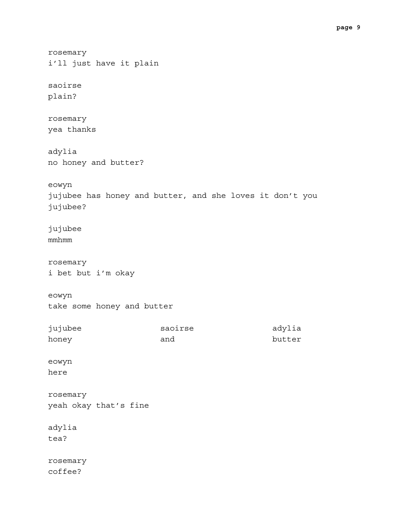rosemary i'll just have it plain saoirse plain? rosemary yea thanks adylia no honey and butter? eowyn jujubee has honey and butter, and she loves it don't you jujubee? jujubee mmhmm rosemary i bet but i'm okay eowyn take some honey and butter jujubee honey saoirse and adylia butter eowyn here rosemary yeah okay that's fine adylia tea? rosemary coffee?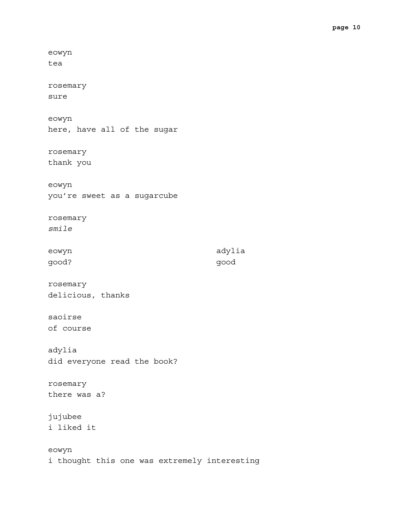eowyn tea rosemary sure eowyn here, have all of the sugar rosemary thank you eowyn you're sweet as a sugarcube rosemary *smile* eowyn good? adylia good rosemary delicious, thanks saoirse of course adylia did everyone read the book? rosemary there was a? jujubee i liked it eowyn i thought this one was extremely interesting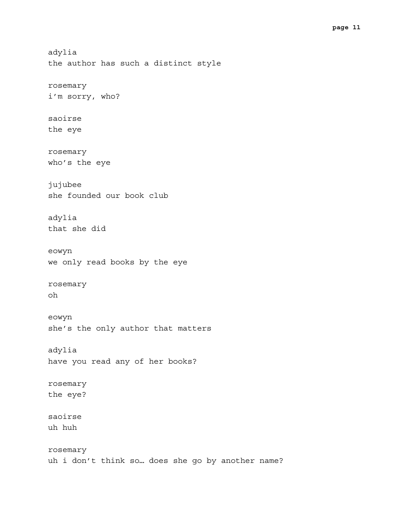adylia the author has such a distinct style rosemary i'm sorry, who? saoirse the eye rosemary who's the eye jujubee she founded our book club adylia that she did eowyn we only read books by the eye rosemary oh eowyn she's the only author that matters adylia have you read any of her books? rosemary the eye? saoirse uh huh rosemary uh i don't think so… does she go by another name?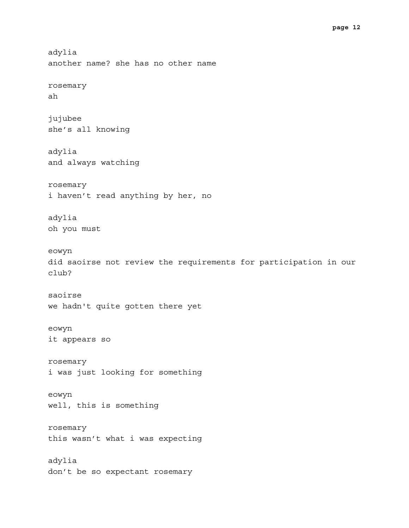```
adylia
another name? she has no other name
rosemary
ah
jujubee
she's all knowing
adylia
and always watching
rosemary
i haven't read anything by her, no
adylia
oh you must
eowyn
did saoirse not review the requirements for participation in our
club?
saoirse
we hadn't quite gotten there yet
eowyn
it appears so
rosemary
i was just looking for something
eowyn
well, this is something
rosemary
this wasn't what i was expecting
adylia
don't be so expectant rosemary
```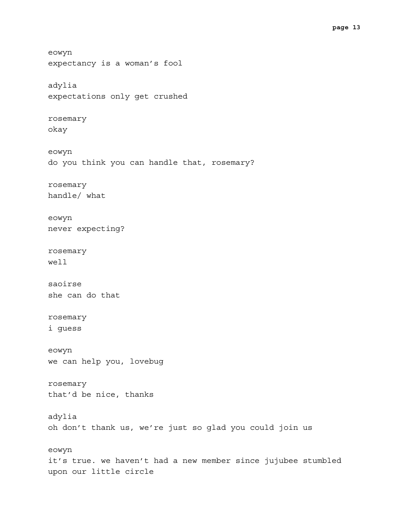```
eowyn
expectancy is a woman's fool
adylia
expectations only get crushed
rosemary
okay
eowyn
do you think you can handle that, rosemary?
rosemary
handle/ what
eowyn
never expecting?
rosemary
well
saoirse
she can do that
rosemary
i guess
eowyn
we can help you, lovebug
rosemary
that'd be nice, thanks
adylia
oh don't thank us, we're just so glad you could join us
eowyn
it's true. we haven't had a new member since jujubee stumbled
upon our little circle
```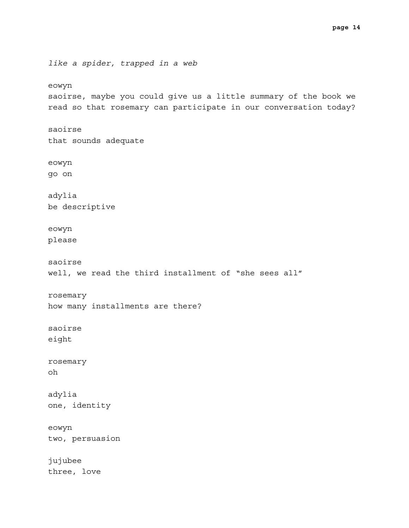*like a spider, trapped in a web* eowyn saoirse, maybe you could give us a little summary of the book we read so that rosemary can participate in our conversation today? saoirse that sounds adequate eowyn go on adylia be descriptive eowyn please saoirse well, we read the third installment of "she sees all" rosemary how many installments are there? saoirse eight rosemary oh adylia one, identity eowyn two, persuasion jujubee three, love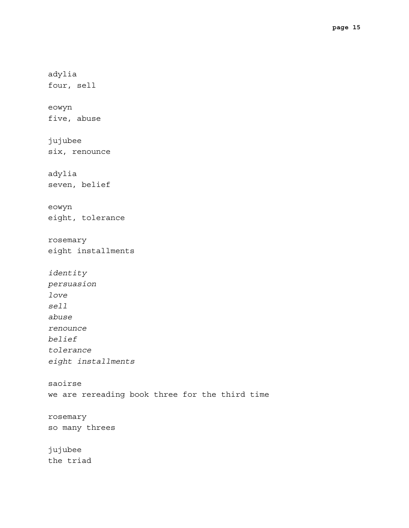adylia four, sell eowyn five, abuse jujubee six, renounce adylia seven, belief eowyn eight, tolerance rosemary eight installments *identity persuasion love sell abuse renounce belief tolerance eight installments* saoirse we are rereading book three for the third time rosemary so many threes jujubee the triad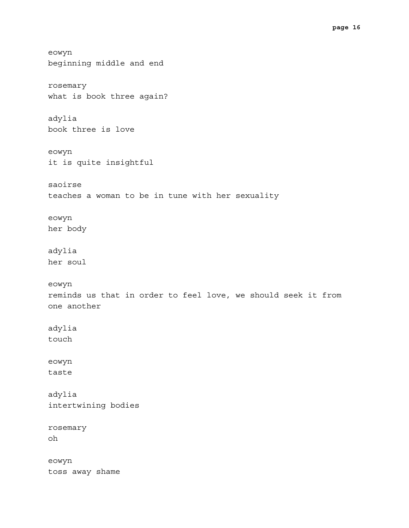```
eowyn
beginning middle and end
rosemary
what is book three again?
adylia
book three is love
eowyn
it is quite insightful
saoirse
teaches a woman to be in tune with her sexuality
eowyn
her body
adylia
her soul
eowyn
reminds us that in order to feel love, we should seek it from
one another
adylia
touch
eowyn
taste
adylia
intertwining bodies
rosemary
oh
eowyn
toss away shame
```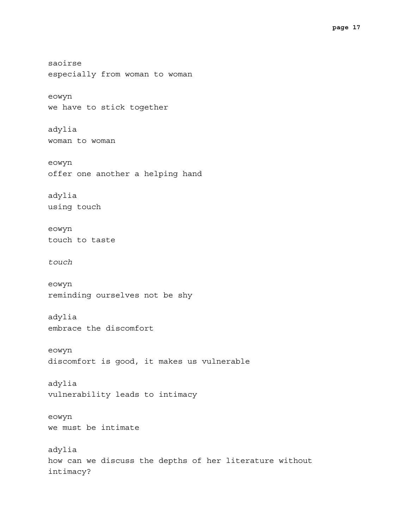saoirse especially from woman to woman eowyn we have to stick together adylia woman to woman eowyn offer one another a helping hand adylia using touch eowyn touch to taste *touch* eowyn reminding ourselves not be shy adylia embrace the discomfort eowyn discomfort is good, it makes us vulnerable adylia vulnerability leads to intimacy eowyn we must be intimate adylia how can we discuss the depths of her literature without intimacy?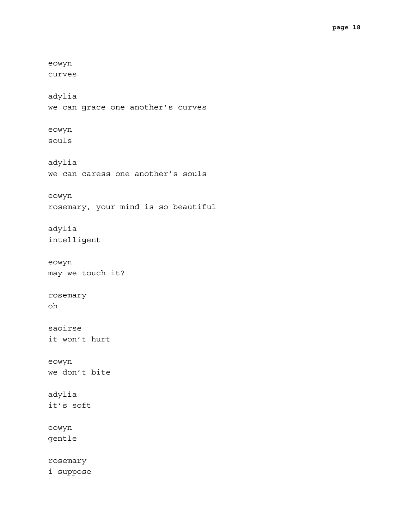```
eowyn
curves
adylia
we can grace one another's curves
eowyn
souls
adylia
we can caress one another's souls
eowyn
rosemary, your mind is so beautiful
adylia
intelligent
eowyn
may we touch it?
rosemary
oh
saoirse
it won't hurt
eowyn
we don't bite
adylia
it's soft
eowyn
gentle
rosemary
i suppose
```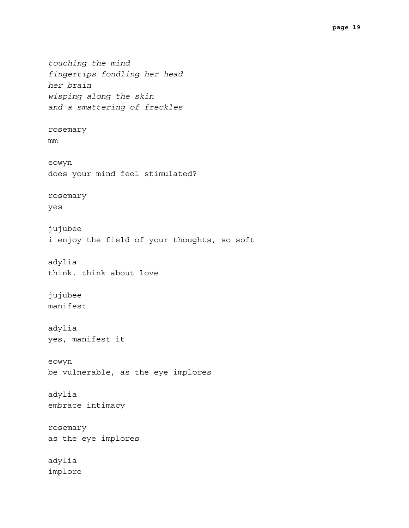*touching the mind fingertips fondling her head her brain wisping along the skin and a smattering of freckles* rosemary mm eowyn does your mind feel stimulated? rosemary yes jujubee i enjoy the field of your thoughts, so soft adylia think. think about love jujubee manifest adylia yes, manifest it eowyn be vulnerable, as the eye implores adylia embrace intimacy rosemary as the eye implores adylia implore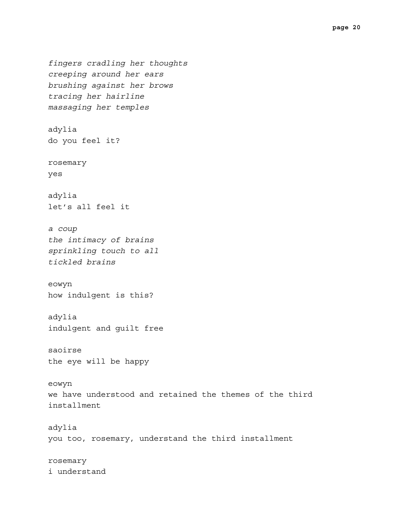```
fingers cradling her thoughts
creeping around her ears
brushing against her brows
tracing her hairline
massaging her temples
adylia
do you feel it?
rosemary
yes
adylia
let's all feel it
a coup
the intimacy of brains
sprinkling touch to all
tickled brains
eowyn
how indulgent is this?
adylia
indulgent and guilt free
saoirse
the eye will be happy
eowyn
we have understood and retained the themes of the third
installment
adylia
you too, rosemary, understand the third installment
rosemary
```
i understand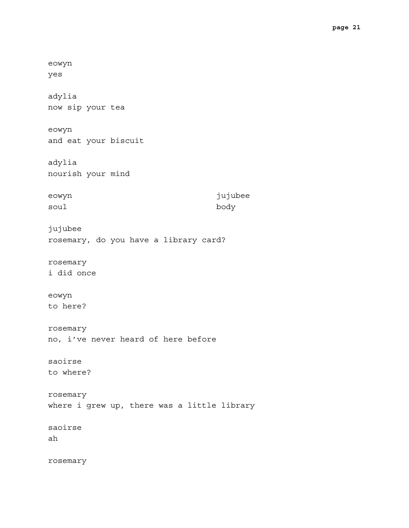eowyn yes adylia now sip your tea eowyn and eat your biscuit adylia nourish your mind eowyn soul jujubee body jujubee rosemary, do you have a library card? rosemary i did once eowyn to here? rosemary no, i've never heard of here before saoirse to where? rosemary where i grew up, there was a little library saoirse ah rosemary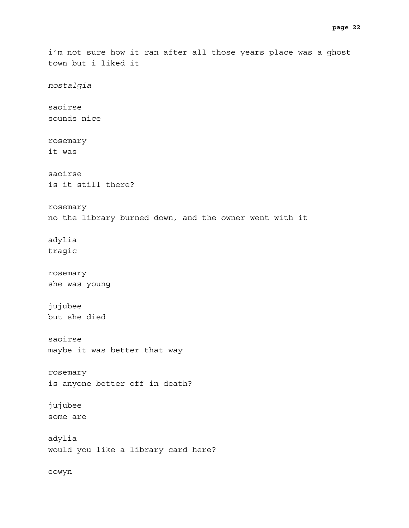i'm not sure how it ran after all those years place was a ghost town but i liked it *nostalgia* saoirse sounds nice rosemary it was saoirse is it still there? rosemary no the library burned down, and the owner went with it adylia tragic rosemary she was young jujubee but she died saoirse maybe it was better that way rosemary is anyone better off in death? jujubee some are adylia would you like a library card here? eowyn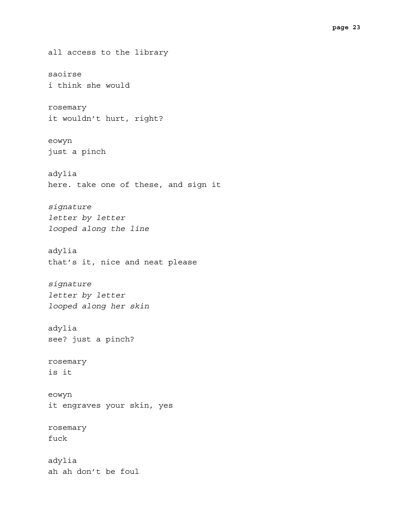all access to the library saoirse i think she would rosemary it wouldn't hurt, right? eowyn just a pinch adylia here. take one of these, and sign it *signature letter by letter looped along the line* adylia that's it, nice and neat please *signature letter by letter looped along her skin* adylia see? just a pinch? rosemary is it eowyn it engraves your skin, yes rosemary fuck adylia ah ah don't be foul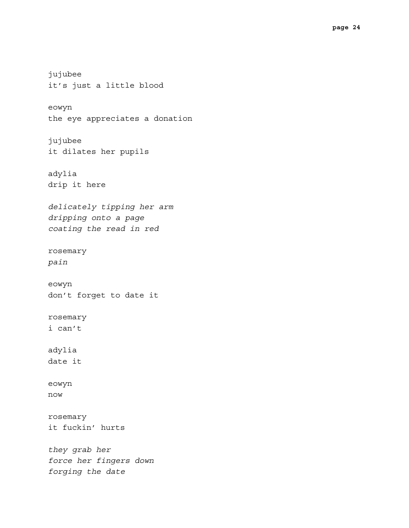jujubee it's just a little blood eowyn the eye appreciates a donation jujubee it dilates her pupils adylia drip it here *delicately tipping her arm dripping onto a page coating the read in red* rosemary *pain* eowyn don't forget to date it rosemary i can't adylia date it eowyn now rosemary it fuckin' hurts *they grab her force her fingers down forging the date*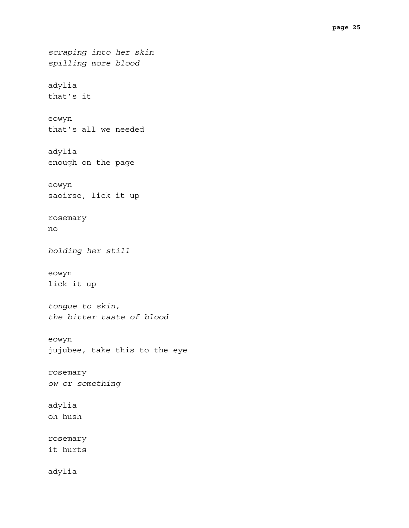*scraping into her skin spilling more blood* adylia that's it eowyn that's all we needed adylia enough on the page eowyn saoirse, lick it up rosemary no *holding her still* eowyn lick it up *tongue to skin, the bitter taste of blood* eowyn jujubee, take this to the eye rosemary *ow or something* adylia oh hush rosemary it hurts adylia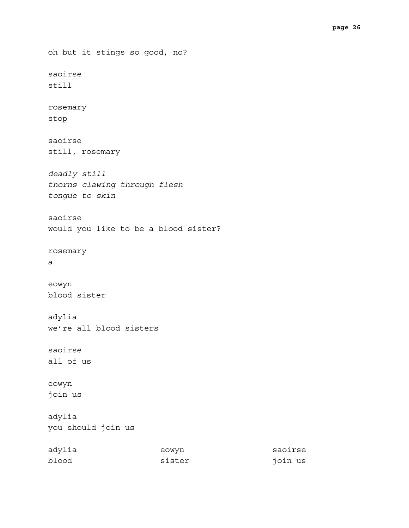oh but it stings so good, no? saoirse still rosemary stop saoirse still, rosemary *deadly still thorns clawing through flesh tongue to skin* saoirse would you like to be a blood sister? rosemary a eowyn blood sister adylia we're all blood sisters saoirse all of us eowyn join us adylia you should join us adylia blood eowyn sister saoirse join us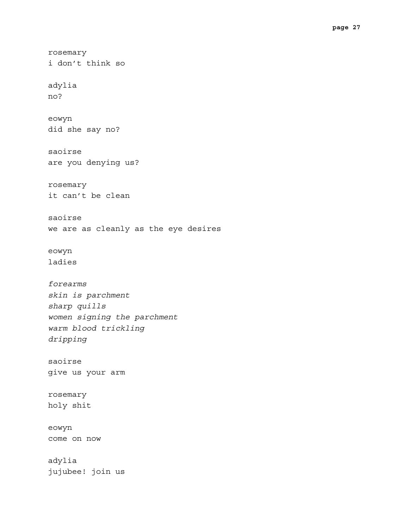```
rosemary
i don't think so
adylia
no?
eowyn
did she say no?
saoirse
are you denying us?
rosemary
it can't be clean
saoirse
we are as cleanly as the eye desires
eowyn
ladies
forearms
skin is parchment
sharp quills
women signing the parchment
warm blood trickling
dripping
saoirse
give us your arm
rosemary
holy shit
eowyn
come on now
adylia
jujubee! join us
```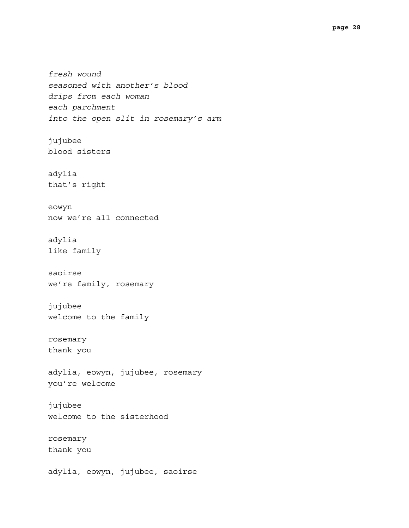*fresh wound seasoned with another's blood drips from each woman each parchment into the open slit in rosemary's arm* jujubee blood sisters adylia that's right eowyn now we're all connected adylia like family saoirse we're family, rosemary jujubee welcome to the family rosemary thank you adylia, eowyn, jujubee, rosemary you're welcome jujubee welcome to the sisterhood rosemary thank you adylia, eowyn, jujubee, saoirse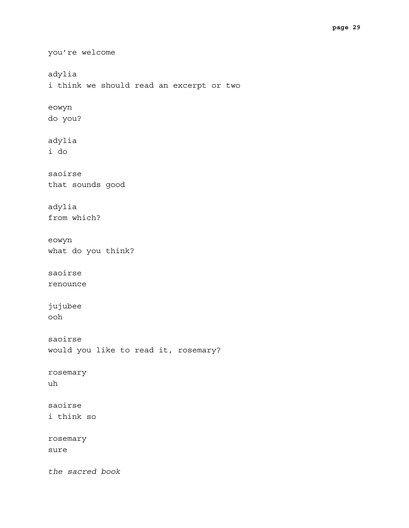```
you're welcome
adylia
i think we should read an excerpt or two
eowyn
do you?
adylia
i do
saoirse
that sounds good
adylia
from which?
eowyn
what do you think?
saoirse
renounce
jujubee
ooh
saoirse
would you like to read it, rosemary?
rosemary
uh
saoirse
i think so
rosemary
sure
the sacred book
```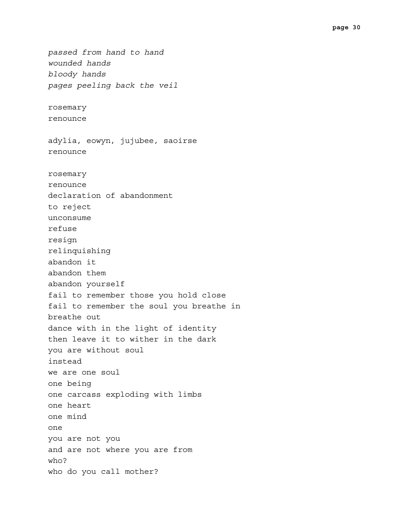*passed from hand to hand wounded hands bloody hands pages peeling back the veil* rosemary renounce adylia, eowyn, jujubee, saoirse renounce rosemary renounce declaration of abandonment to reject unconsume refuse resign relinquishing abandon it abandon them abandon yourself fail to remember those you hold close fail to remember the soul you breathe in breathe out dance with in the light of identity then leave it to wither in the dark you are without soul instead we are one soul one being one carcass exploding with limbs one heart one mind one you are not you and are not where you are from who? who do you call mother?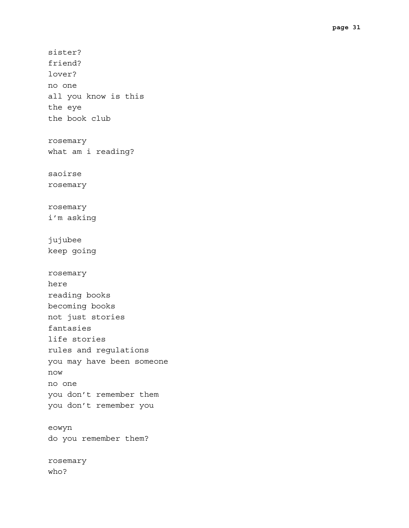sister? friend? lover? no one all you know is this the eye the book club rosemary what am i reading? saoirse rosemary rosemary i'm asking jujubee keep going rosemary here reading books becoming books not just stories fantasies life stories rules and regulations you may have been someone now no one you don't remember them you don't remember you eowyn do you remember them? rosemary

who?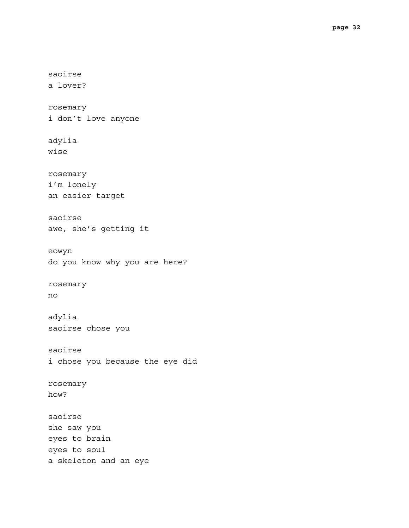```
saoirse
a lover?
rosemary
i don't love anyone
adylia
wise
rosemary
i'm lonely
an easier target
saoirse
awe, she's getting it
eowyn
do you know why you are here?
rosemary
no
adylia
saoirse chose you
saoirse
i chose you because the eye did
rosemary
how?
saoirse
she saw you
eyes to brain
eyes to soul
a skeleton and an eye
```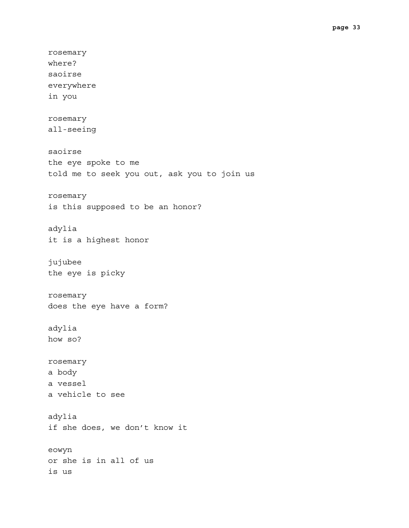rosemary where? saoirse everywhere in you rosemary all-seeing saoirse the eye spoke to me told me to seek you out, ask you to join us rosemary is this supposed to be an honor? adylia it is a highest honor jujubee the eye is picky rosemary does the eye have a form? adylia how so? rosemary a body a vessel a vehicle to see adylia if she does, we don't know it eowyn or she is in all of us is us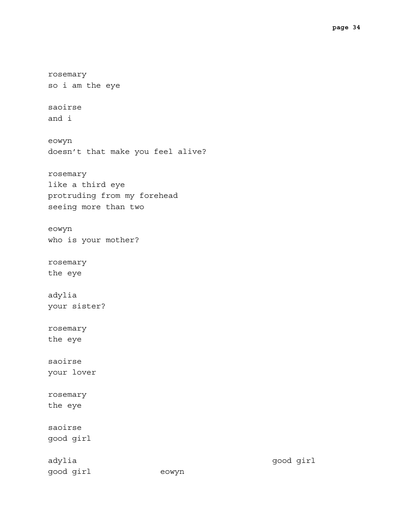rosemary so i am the eye saoirse and i eowyn doesn't that make you feel alive? rosemary like a third eye protruding from my forehead seeing more than two eowyn who is your mother? rosemary the eye adylia your sister? rosemary the eye saoirse your lover rosemary the eye saoirse good girl adylia good girl eowyn

good girl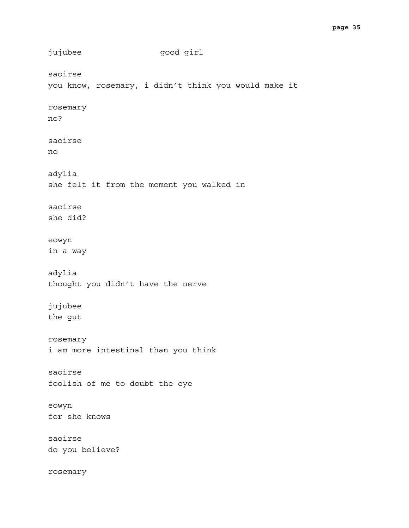```
jujubee good girl
saoirse
you know, rosemary, i didn't think you would make it
rosemary
no?
saoirse
no
adylia
she felt it from the moment you walked in
saoirse
she did?
eowyn
in a way
adylia
thought you didn't have the nerve
jujubee
the gut
rosemary
i am more intestinal than you think
saoirse
foolish of me to doubt the eye
eowyn
for she knows
saoirse
do you believe?
rosemary
```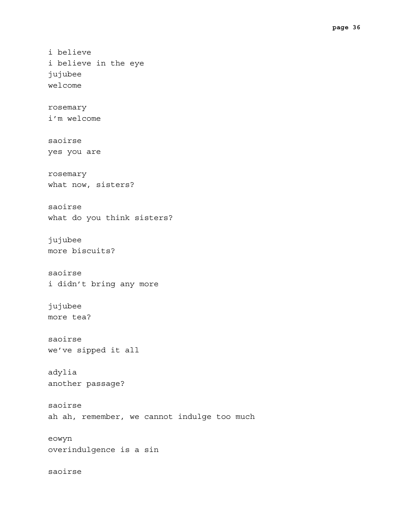i believe i believe in the eye jujubee welcome rosemary i'm welcome saoirse yes you are rosemary what now, sisters? saoirse what do you think sisters? jujubee more biscuits? saoirse i didn't bring any more jujubee more tea? saoirse we've sipped it all adylia another passage? saoirse ah ah, remember, we cannot indulge too much eowyn overindulgence is a sin saoirse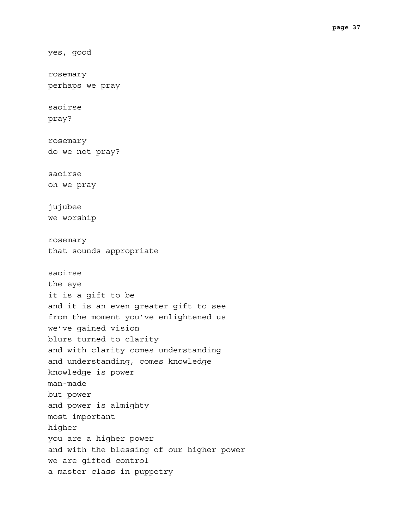```
yes, good
rosemary
perhaps we pray
saoirse
pray?
rosemary
do we not pray?
saoirse
oh we pray
jujubee
we worship
rosemary
that sounds appropriate
saoirse
the eye
it is a gift to be
and it is an even greater gift to see
from the moment you've enlightened us
we've gained vision
blurs turned to clarity
and with clarity comes understanding
and understanding, comes knowledge
knowledge is power
man-made
but power
and power is almighty
most important
higher
you are a higher power
and with the blessing of our higher power
we are gifted control
a master class in puppetry
```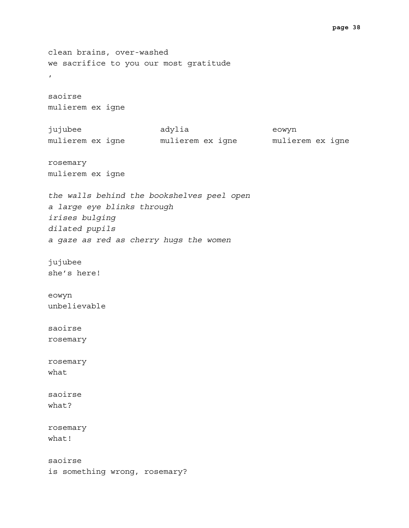clean brains, over-washed we sacrifice to you our most gratitude , saoirse mulierem ex igne jujubee mulierem ex igne mulierem ex igne mulierem ex igne adylia eowyn rosemary mulierem ex igne *the walls behind the bookshelves peel open a large eye blinks through irises bulging dilated pupils a gaze as red as cherry hugs the women* jujubee she's here! eowyn unbelievable saoirse rosemary rosemary what saoirse what? rosemary what! saoirse

is something wrong, rosemary?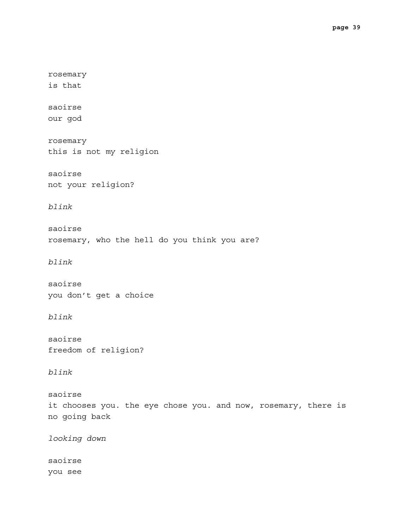rosemary is that saoirse our god rosemary this is not my religion saoirse not your religion? *blink* saoirse rosemary, who the hell do you think you are? *blink* saoirse you don't get a choice *blink* saoirse freedom of religion? *blink* saoirse it chooses you. the eye chose you. and now, rosemary, there is no going back *looking down* saoirse you see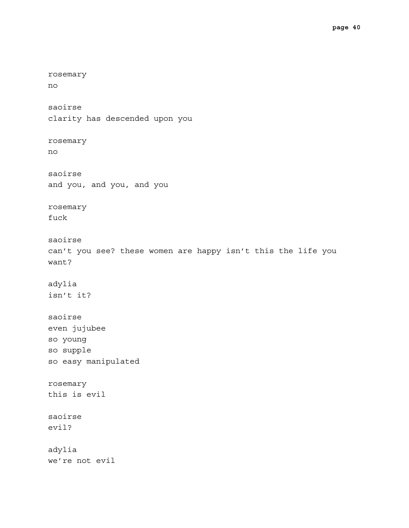```
rosemary
no
saoirse
clarity has descended upon you
rosemary
no
saoirse
and you, and you, and you
rosemary
fuck
saoirse
can't you see? these women are happy isn't this the life you
want?
adylia
isn't it?
saoirse
even jujubee
so young
so supple
so easy manipulated
rosemary
this is evil
saoirse
evil?
adylia
we're not evil
```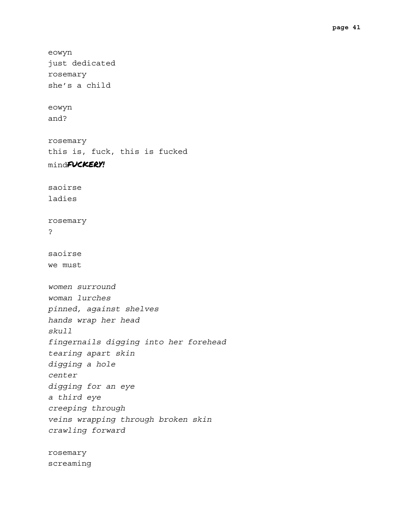eowyn just dedicated rosemary she's a child eowyn and? rosemary this is, fuck, this is fucked mind**FUCKERY!** saoirse ladies rosemary ? saoirse we must *women surround woman lurches pinned, against shelves hands wrap her head skull fingernails digging into her forehead tearing apart skin digging a hole center digging for an eye a third eye creeping through veins wrapping through broken skin crawling forward* rosemary

screaming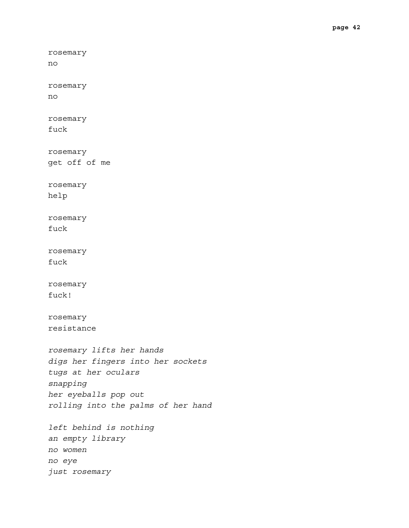```
rosemary
no
rosemary
no
rosemary
fuck
rosemary
get off of me
rosemary
help
rosemary
fuck
rosemary
fuck
rosemary
fuck!
rosemary
resistance
rosemary lifts her hands
digs her fingers into her sockets
tugs at her oculars
snapping
her eyeballs pop out
rolling into the palms of her hand
left behind is nothing
an empty library
no women
no eye
just rosemary
```